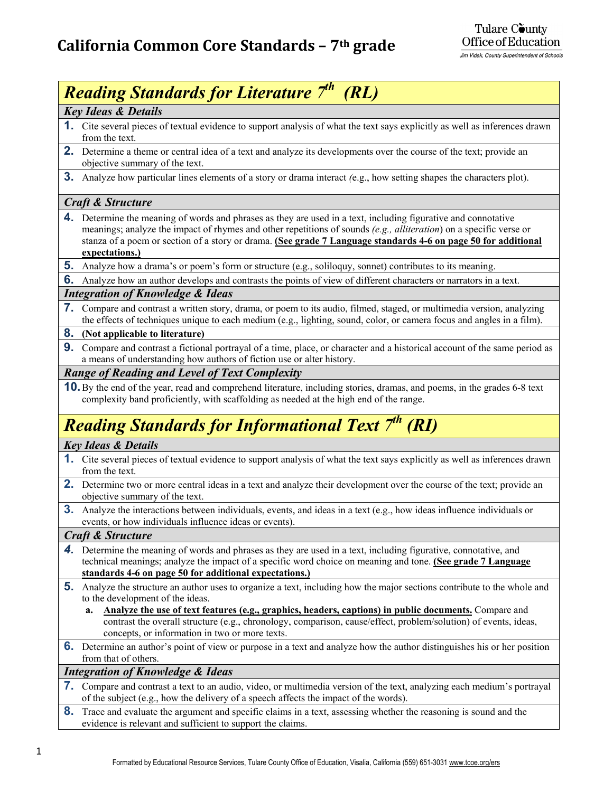### *Reading Standards for Literature 7th (RL)*

#### *Key Ideas & Details*

- **1.** Cite several pieces of textual evidence to support analysis of what the text says explicitly as well as inferences drawn from the text.
- **2.** Determine a theme or central idea of a text and analyze its developments over the course of the text; provide an objective summary of the text.
- **3.** Analyze how particular lines elements of a story or drama interact *(*e.g., how setting shapes the characters plot).

#### *Craft & Structure*

- **4.** Determine the meaning of words and phrases as they are used in a text, including figurative and connotative meanings; analyze the impact of rhymes and other repetitions of sounds *(e.g., alliteration*) on a specific verse or stanza of a poem or section of a story or drama. **(See grade 7 Language standards 4-6 on page 50 for additional expectations.)**
- **5.** Analyze how a drama's or poem's form or structure (e.g., soliloquy, sonnet) contributes to its meaning.

**6.** Analyze how an author develops and contrasts the points of view of different characters or narrators in a text.

#### *Integration of Knowledge & Ideas*

**7.** Compare and contrast a written story, drama, or poem to its audio, filmed, staged, or multimedia version, analyzing the effects of techniques unique to each medium (e.g., lighting, sound, color, or camera focus and angles in a film).

#### **8. (Not applicable to literature)**

**9.** Compare and contrast a fictional portrayal of a time, place, or character and a historical account of the same period as a means of understanding how authors of fiction use or alter history.

#### *Range of Reading and Level of Text Complexity*

**10.** By the end of the year, read and comprehend literature, including stories, dramas, and poems, in the grades 6-8 text complexity band proficiently, with scaffolding as needed at the high end of the range.

# *Reading Standards for Informational Text 7th (RI)*

#### *Key Ideas & Details*

- **1.** Cite several pieces of textual evidence to support analysis of what the text says explicitly as well as inferences drawn from the text.
- **2.** Determine two or more central ideas in a text and analyze their development over the course of the text; provide an objective summary of the text.
- **3.** Analyze the interactions between individuals, events, and ideas in a text (e.g., how ideas influence individuals or events, or how individuals influence ideas or events).

#### *Craft & Structure*

- *4.* Determine the meaning of words and phrases as they are used in a text, including figurative, connotative, and technical meanings; analyze the impact of a specific word choice on meaning and tone. **(See grade 7 Language standards 4-6 on page 50 for additional expectations.)**
- **5.** Analyze the structure an author uses to organize a text, including how the major sections contribute to the whole and to the development of the ideas.
	- **a. Analyze the use of text features (e.g., graphics, headers, captions) in public documents.** Compare and contrast the overall structure (e.g., chronology, comparison, cause/effect, problem/solution) of events, ideas, concepts, or information in two or more texts.
- **6.** Determine an author's point of view or purpose in a text and analyze how the author distinguishes his or her position from that of others.

#### *Integration of Knowledge & Ideas*

- **7.** Compare and contrast a text to an audio, video, or multimedia version of the text, analyzing each medium's portrayal of the subject (e.g., how the delivery of a speech affects the impact of the words).
- **8.** Trace and evaluate the argument and specific claims in a text, assessing whether the reasoning is sound and the evidence is relevant and sufficient to support the claims.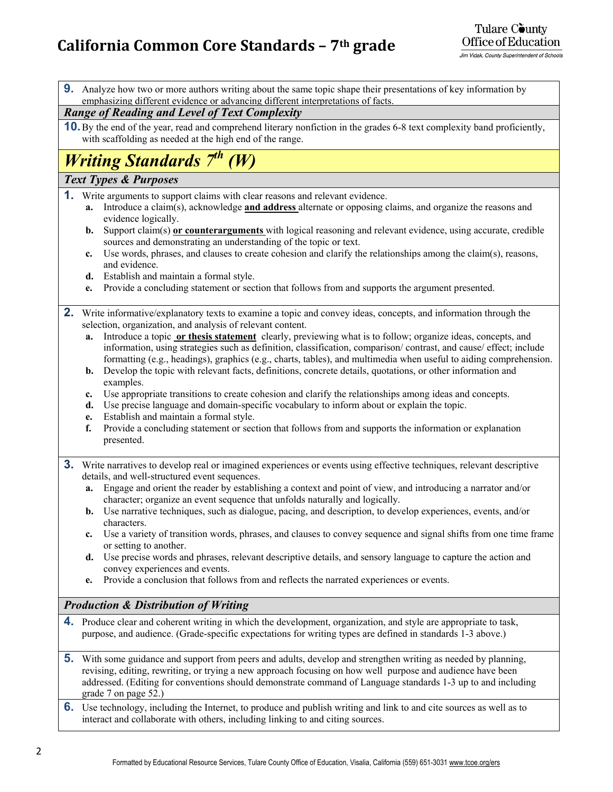### **California Common Core Standards – 7th grade**

| <b>9.</b> Analyze how two or more authors writing about the same topic shape their presentations of key information by<br>emphasizing different evidence or advancing different interpretations of facts.                                                                                                                                                                                                                                                                                                                                                                                                                                                                                                                                                                                                                                                                                                                                                                                                                                                                          |
|------------------------------------------------------------------------------------------------------------------------------------------------------------------------------------------------------------------------------------------------------------------------------------------------------------------------------------------------------------------------------------------------------------------------------------------------------------------------------------------------------------------------------------------------------------------------------------------------------------------------------------------------------------------------------------------------------------------------------------------------------------------------------------------------------------------------------------------------------------------------------------------------------------------------------------------------------------------------------------------------------------------------------------------------------------------------------------|
| <b>Range of Reading and Level of Text Complexity</b>                                                                                                                                                                                                                                                                                                                                                                                                                                                                                                                                                                                                                                                                                                                                                                                                                                                                                                                                                                                                                               |
| <b>10.</b> By the end of the year, read and comprehend literary nonfiction in the grades 6-8 text complexity band proficiently,<br>with scaffolding as needed at the high end of the range.                                                                                                                                                                                                                                                                                                                                                                                                                                                                                                                                                                                                                                                                                                                                                                                                                                                                                        |
| <b>Writing Standards</b> 7 <sup>th</sup> (W)                                                                                                                                                                                                                                                                                                                                                                                                                                                                                                                                                                                                                                                                                                                                                                                                                                                                                                                                                                                                                                       |
| <b>Text Types &amp; Purposes</b>                                                                                                                                                                                                                                                                                                                                                                                                                                                                                                                                                                                                                                                                                                                                                                                                                                                                                                                                                                                                                                                   |
| Write arguments to support claims with clear reasons and relevant evidence.<br>Introduce a claim(s), acknowledge and address alternate or opposing claims, and organize the reasons and<br>a.<br>evidence logically.<br>Support claim(s) or counterarguments with logical reasoning and relevant evidence, using accurate, credible<br>b.<br>sources and demonstrating an understanding of the topic or text.<br>Use words, phrases, and clauses to create cohesion and clarify the relationships among the claim(s), reasons,<br>c.<br>and evidence.<br>Establish and maintain a formal style.<br>d.<br>Provide a concluding statement or section that follows from and supports the argument presented.<br>e.                                                                                                                                                                                                                                                                                                                                                                    |
| 2.<br>Write informative/explanatory texts to examine a topic and convey ideas, concepts, and information through the<br>selection, organization, and analysis of relevant content.<br>Introduce a topic or thesis statement clearly, previewing what is to follow; organize ideas, concepts, and<br>a.<br>information, using strategies such as definition, classification, comparison/contrast, and cause/effect; include<br>formatting (e.g., headings), graphics (e.g., charts, tables), and multimedia when useful to aiding comprehension.<br>Develop the topic with relevant facts, definitions, concrete details, quotations, or other information and<br>b.<br>examples.<br>Use appropriate transitions to create cohesion and clarify the relationships among ideas and concepts.<br>c.<br>Use precise language and domain-specific vocabulary to inform about or explain the topic.<br>d.<br>Establish and maintain a formal style.<br>e.<br>Provide a concluding statement or section that follows from and supports the information or explanation<br>f.<br>presented. |
| 3.<br>Write narratives to develop real or imagined experiences or events using effective techniques, relevant descriptive<br>details, and well-structured event sequences.<br>Engage and orient the reader by establishing a context and point of view, and introducing a narrator and/or<br>a.<br>character; organize an event sequence that unfolds naturally and logically.<br>Use narrative techniques, such as dialogue, pacing, and description, to develop experiences, events, and/or<br>$\mathbf{b}$ .<br>characters.<br>Use a variety of transition words, phrases, and clauses to convey sequence and signal shifts from one time frame<br>c.<br>or setting to another.<br>Use precise words and phrases, relevant descriptive details, and sensory language to capture the action and<br>d.<br>convey experiences and events.<br>Provide a conclusion that follows from and reflects the narrated experiences or events.<br>e.                                                                                                                                         |
| <b>Production &amp; Distribution of Writing</b>                                                                                                                                                                                                                                                                                                                                                                                                                                                                                                                                                                                                                                                                                                                                                                                                                                                                                                                                                                                                                                    |
| <b>4.</b> Produce clear and coherent writing in which the development, organization, and style are appropriate to task,<br>purpose, and audience. (Grade-specific expectations for writing types are defined in standards 1-3 above.)                                                                                                                                                                                                                                                                                                                                                                                                                                                                                                                                                                                                                                                                                                                                                                                                                                              |
| 5. With some guidance and support from peers and adults, develop and strengthen writing as needed by planning,<br>revising, editing, rewriting, or trying a new approach focusing on how well purpose and audience have been<br>addressed. (Editing for conventions should demonstrate command of Language standards 1-3 up to and including<br>grade 7 on page 52.)                                                                                                                                                                                                                                                                                                                                                                                                                                                                                                                                                                                                                                                                                                               |
| 6. Use technology, including the Internet, to produce and publish writing and link to and cite sources as well as to<br>interact and collaborate with others, including linking to and citing sources.                                                                                                                                                                                                                                                                                                                                                                                                                                                                                                                                                                                                                                                                                                                                                                                                                                                                             |
|                                                                                                                                                                                                                                                                                                                                                                                                                                                                                                                                                                                                                                                                                                                                                                                                                                                                                                                                                                                                                                                                                    |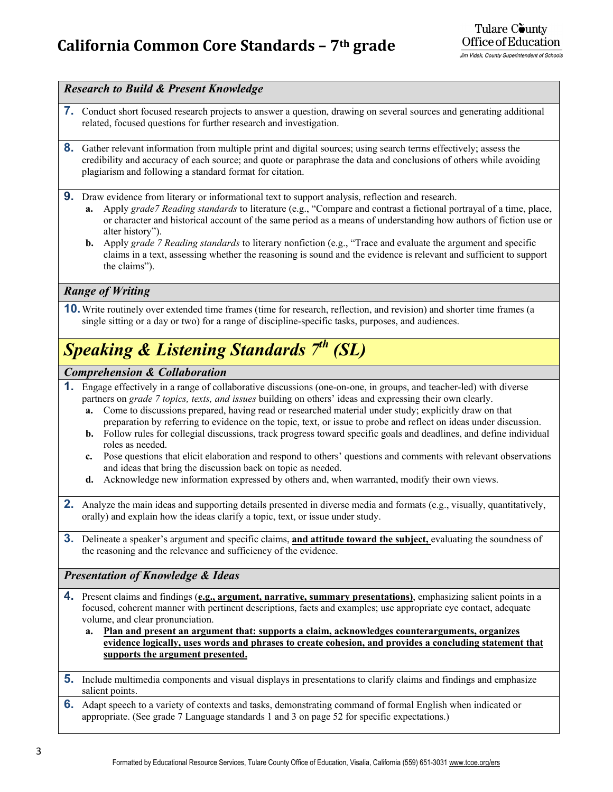#### *Research to Build & Present Knowledge*

- **7.** Conduct short focused research projects to answer a question, drawing on several sources and generating additional related, focused questions for further research and investigation.
- **8.** Gather relevant information from multiple print and digital sources; using search terms effectively; assess the credibility and accuracy of each source; and quote or paraphrase the data and conclusions of others while avoiding plagiarism and following a standard format for citation.
- **9.** Draw evidence from literary or informational text to support analysis, reflection and research.
	- **a.** Apply *grade7 Reading standards* to literature (e.g., "Compare and contrast a fictional portrayal of a time, place, or character and historical account of the same period as a means of understanding how authors of fiction use or alter history").
	- **b.** Apply *grade 7 Reading standards* to literary nonfiction (e.g., "Trace and evaluate the argument and specific claims in a text, assessing whether the reasoning is sound and the evidence is relevant and sufficient to support the claims").

#### *Range of Writing*

**10.** Write routinely over extended time frames (time for research, reflection, and revision) and shorter time frames (a single sitting or a day or two) for a range of discipline-specific tasks, purposes, and audiences.

## *Speaking & Listening Standards 7th (SL)*

#### *Comprehension & Collaboration*

- **1.** Engage effectively in a range of collaborative discussions (one-on-one, in groups, and teacher-led) with diverse partners on *grade 7 topics, texts, and issues* building on others' ideas and expressing their own clearly.
	- **a.** Come to discussions prepared, having read or researched material under study; explicitly draw on that preparation by referring to evidence on the topic, text, or issue to probe and reflect on ideas under discussion.
	- **b.** Follow rules for collegial discussions, track progress toward specific goals and deadlines, and define individual roles as needed.
	- **c.** Pose questions that elicit elaboration and respond to others' questions and comments with relevant observations and ideas that bring the discussion back on topic as needed.
	- **d.** Acknowledge new information expressed by others and, when warranted, modify their own views.
- **2.** Analyze the main ideas and supporting details presented in diverse media and formats (e.g., visually, quantitatively, orally) and explain how the ideas clarify a topic, text, or issue under study.
- **3.** Delineate a speaker's argument and specific claims, **and attitude toward the subject,** evaluating the soundness of the reasoning and the relevance and sufficiency of the evidence.

#### *Presentation of Knowledge & Ideas*

- **4.** Present claims and findings (**e.g., argument, narrative, summary presentations)**, emphasizing salient points in a focused, coherent manner with pertinent descriptions, facts and examples; use appropriate eye contact, adequate volume, and clear pronunciation.
	- **a. Plan and present an argument that: supports a claim, acknowledges counterarguments, organizes evidence logically, uses words and phrases to create cohesion, and provides a concluding statement that supports the argument presented.**
- **5.** Include multimedia components and visual displays in presentations to clarify claims and findings and emphasize salient points.
- **6.** Adapt speech to a variety of contexts and tasks, demonstrating command of formal English when indicated or appropriate. (See grade 7 Language standards 1 and 3 on page 52 for specific expectations.)